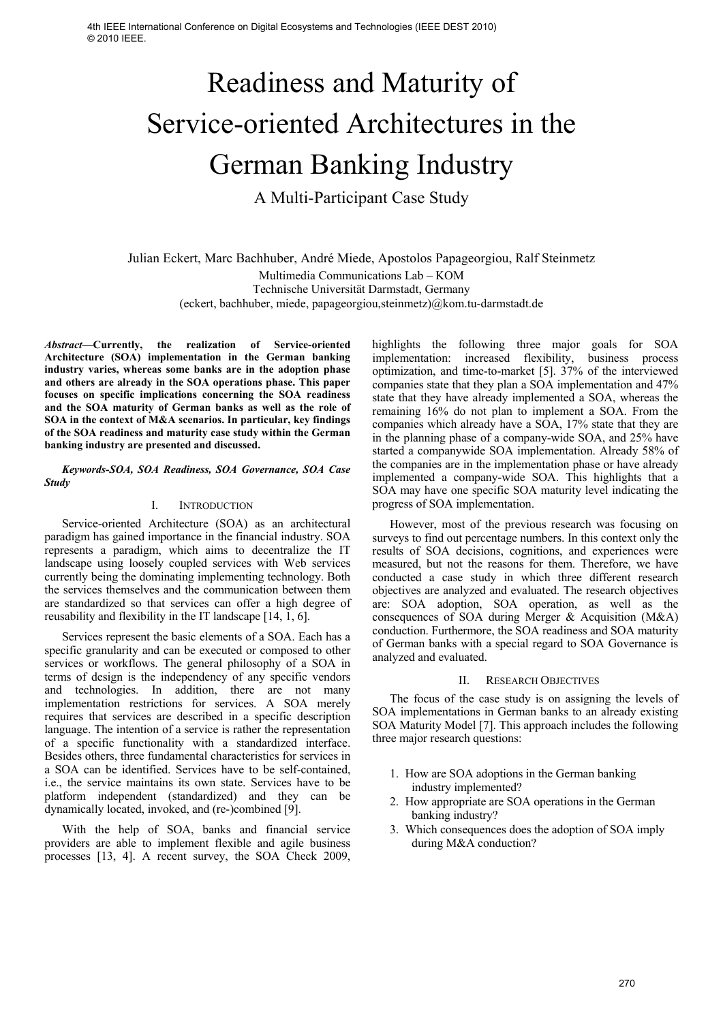# Readiness and Maturity of Service-oriented Architectures in the German Banking Industry

A Multi-Participant Case Study

Julian Eckert, Marc Bachhuber, André Miede, Apostolos Papageorgiou, Ralf Steinmetz Multimedia Communications Lab – KOM Technische Universität Darmstadt, Germany (eckert, bachhuber, miede, papageorgiou,steinmetz)@kom.tu-darmstadt.de

*Abstract***—Currently, the realization of Service-oriented Architecture (SOA) implementation in the German banking industry varies, whereas some banks are in the adoption phase and others are already in the SOA operations phase. This paper focuses on specific implications concerning the SOA readiness and the SOA maturity of German banks as well as the role of SOA in the context of M&A scenarios. In particular, key findings of the SOA readiness and maturity case study within the German banking industry are presented and discussed.** 

*Keywords-SOA, SOA Readiness, SOA Governance, SOA Case Study* 

## I. INTRODUCTION

Service-oriented Architecture (SOA) as an architectural paradigm has gained importance in the financial industry. SOA represents a paradigm, which aims to decentralize the IT landscape using loosely coupled services with Web services currently being the dominating implementing technology. Both the services themselves and the communication between them are standardized so that services can offer a high degree of reusability and flexibility in the IT landscape [14, 1, 6].

Services represent the basic elements of a SOA. Each has a specific granularity and can be executed or composed to other services or workflows. The general philosophy of a SOA in terms of design is the independency of any specific vendors and technologies. In addition, there are not many implementation restrictions for services. A SOA merely requires that services are described in a specific description language. The intention of a service is rather the representation of a specific functionality with a standardized interface. Besides others, three fundamental characteristics for services in a SOA can be identified. Services have to be self-contained, i.e., the service maintains its own state. Services have to be platform independent (standardized) and they can be dynamically located, invoked, and (re-)combined [9].

With the help of SOA, banks and financial service providers are able to implement flexible and agile business processes [13, 4]. A recent survey, the SOA Check 2009, highlights the following three major goals for SOA implementation: increased flexibility, business process optimization, and time-to-market [5]. 37% of the interviewed companies state that they plan a SOA implementation and 47% state that they have already implemented a SOA, whereas the remaining 16% do not plan to implement a SOA. From the companies which already have a SOA, 17% state that they are in the planning phase of a company-wide SOA, and 25% have started a companywide SOA implementation. Already 58% of the companies are in the implementation phase or have already implemented a company-wide SOA. This highlights that a SOA may have one specific SOA maturity level indicating the progress of SOA implementation.

However, most of the previous research was focusing on surveys to find out percentage numbers. In this context only the results of SOA decisions, cognitions, and experiences were measured, but not the reasons for them. Therefore, we have conducted a case study in which three different research objectives are analyzed and evaluated. The research objectives are: SOA adoption, SOA operation, as well as the consequences of SOA during Merger & Acquisition (M&A) conduction. Furthermore, the SOA readiness and SOA maturity of German banks with a special regard to SOA Governance is analyzed and evaluated.

#### II. RESEARCH OBJECTIVES

The focus of the case study is on assigning the levels of SOA implementations in German banks to an already existing SOA Maturity Model [7]. This approach includes the following three major research questions:

- 1. How are SOA adoptions in the German banking industry implemented?
- 2. How appropriate are SOA operations in the German banking industry?
- 3. Which consequences does the adoption of SOA imply during M&A conduction?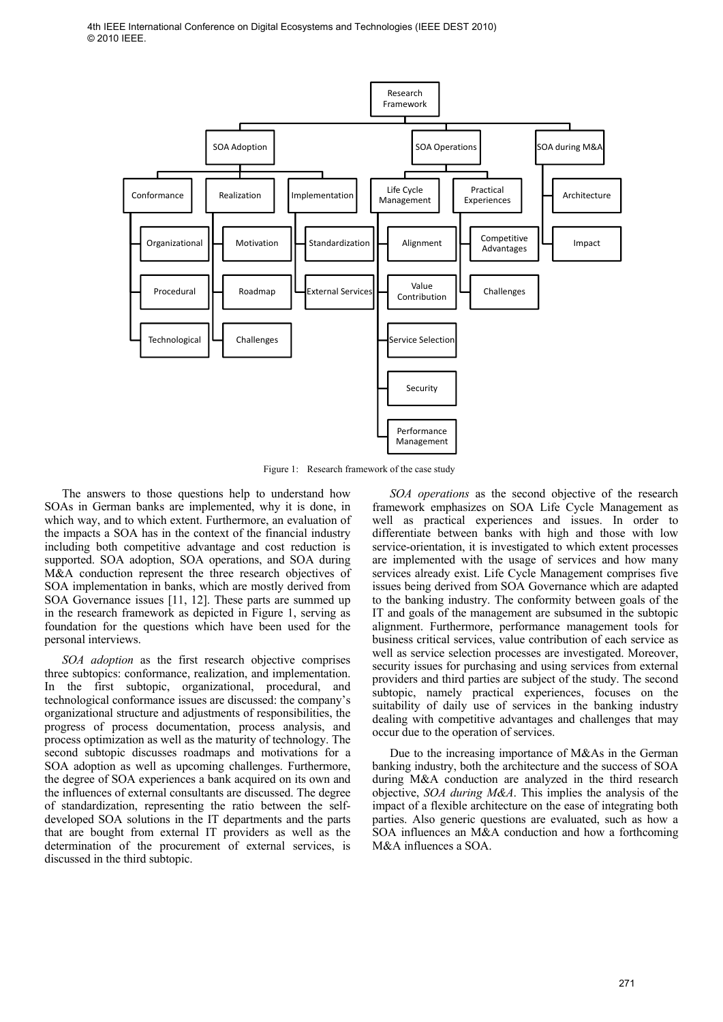

Figure 1: Research framework of the case study

The answers to those questions help to understand how SOAs in German banks are implemented, why it is done, in which way, and to which extent. Furthermore, an evaluation of the impacts a SOA has in the context of the financial industry including both competitive advantage and cost reduction is supported. SOA adoption, SOA operations, and SOA during M&A conduction represent the three research objectives of SOA implementation in banks, which are mostly derived from SOA Governance issues [11, 12]. These parts are summed up in the research framework as depicted in Figure 1, serving as foundation for the questions which have been used for the personal interviews.

*SOA adoption* as the first research objective comprises three subtopics: conformance, realization, and implementation. In the first subtopic, organizational, procedural, and technological conformance issues are discussed: the company's organizational structure and adjustments of responsibilities, the progress of process documentation, process analysis, and process optimization as well as the maturity of technology. The second subtopic discusses roadmaps and motivations for a SOA adoption as well as upcoming challenges. Furthermore, the degree of SOA experiences a bank acquired on its own and the influences of external consultants are discussed. The degree of standardization, representing the ratio between the selfdeveloped SOA solutions in the IT departments and the parts that are bought from external IT providers as well as the determination of the procurement of external services, is discussed in the third subtopic.

*SOA operations* as the second objective of the research framework emphasizes on SOA Life Cycle Management as well as practical experiences and issues. In order to differentiate between banks with high and those with low service-orientation, it is investigated to which extent processes are implemented with the usage of services and how many services already exist. Life Cycle Management comprises five issues being derived from SOA Governance which are adapted to the banking industry. The conformity between goals of the IT and goals of the management are subsumed in the subtopic alignment. Furthermore, performance management tools for business critical services, value contribution of each service as well as service selection processes are investigated. Moreover, security issues for purchasing and using services from external providers and third parties are subject of the study. The second subtopic, namely practical experiences, focuses on the suitability of daily use of services in the banking industry dealing with competitive advantages and challenges that may occur due to the operation of services.

Due to the increasing importance of M&As in the German banking industry, both the architecture and the success of SOA during M&A conduction are analyzed in the third research objective, *SOA during M&A*. This implies the analysis of the impact of a flexible architecture on the ease of integrating both parties. Also generic questions are evaluated, such as how a SOA influences an M&A conduction and how a forthcoming M&A influences a SOA.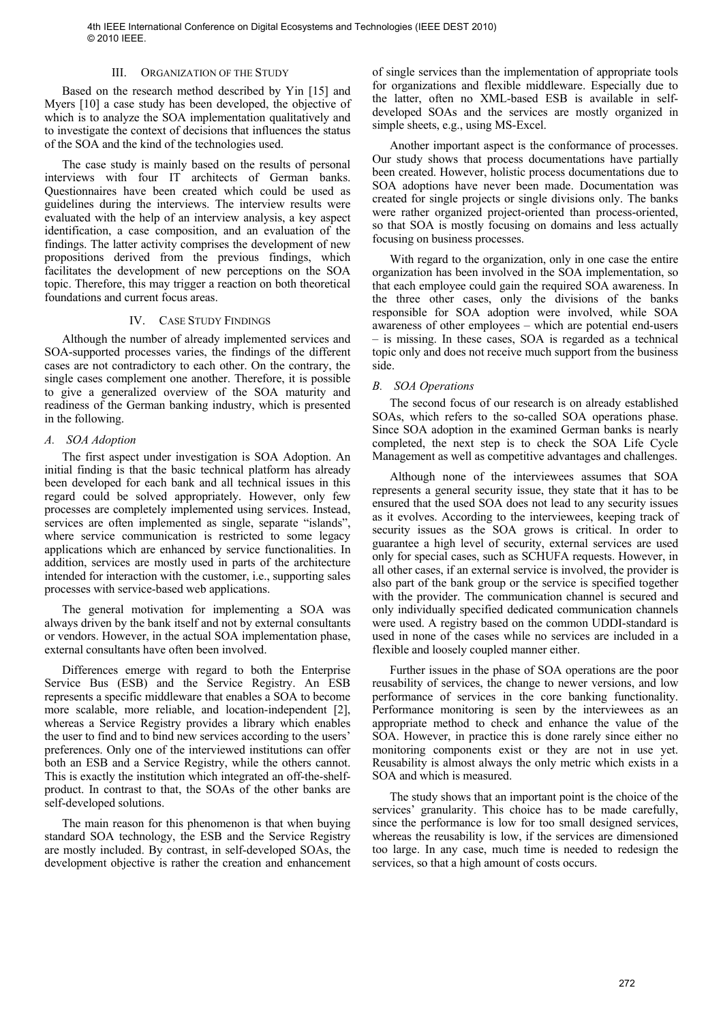## III. ORGANIZATION OF THE STUDY

Based on the research method described by Yin [15] and Myers [10] a case study has been developed, the objective of which is to analyze the SOA implementation qualitatively and to investigate the context of decisions that influences the status of the SOA and the kind of the technologies used.

The case study is mainly based on the results of personal interviews with four IT architects of German banks. Questionnaires have been created which could be used as guidelines during the interviews. The interview results were evaluated with the help of an interview analysis, a key aspect identification, a case composition, and an evaluation of the findings. The latter activity comprises the development of new propositions derived from the previous findings, which facilitates the development of new perceptions on the SOA topic. Therefore, this may trigger a reaction on both theoretical foundations and current focus areas.

## IV. CASE STUDY FINDINGS

Although the number of already implemented services and SOA-supported processes varies, the findings of the different cases are not contradictory to each other. On the contrary, the single cases complement one another. Therefore, it is possible to give a generalized overview of the SOA maturity and readiness of the German banking industry, which is presented in the following.

## *A. SOA Adoption*

The first aspect under investigation is SOA Adoption. An initial finding is that the basic technical platform has already been developed for each bank and all technical issues in this regard could be solved appropriately. However, only few processes are completely implemented using services. Instead, services are often implemented as single, separate "islands", where service communication is restricted to some legacy applications which are enhanced by service functionalities. In addition, services are mostly used in parts of the architecture intended for interaction with the customer, i.e., supporting sales processes with service-based web applications.

The general motivation for implementing a SOA was always driven by the bank itself and not by external consultants or vendors. However, in the actual SOA implementation phase, external consultants have often been involved.

Differences emerge with regard to both the Enterprise Service Bus (ESB) and the Service Registry. An ESB represents a specific middleware that enables a SOA to become more scalable, more reliable, and location-independent [2], whereas a Service Registry provides a library which enables the user to find and to bind new services according to the users' preferences. Only one of the interviewed institutions can offer both an ESB and a Service Registry, while the others cannot. This is exactly the institution which integrated an off-the-shelfproduct. In contrast to that, the SOAs of the other banks are self-developed solutions.

The main reason for this phenomenon is that when buying standard SOA technology, the ESB and the Service Registry are mostly included. By contrast, in self-developed SOAs, the development objective is rather the creation and enhancement of single services than the implementation of appropriate tools for organizations and flexible middleware. Especially due to the latter, often no XML-based ESB is available in selfdeveloped SOAs and the services are mostly organized in simple sheets, e.g., using MS-Excel.

Another important aspect is the conformance of processes. Our study shows that process documentations have partially been created. However, holistic process documentations due to SOA adoptions have never been made. Documentation was created for single projects or single divisions only. The banks were rather organized project-oriented than process-oriented, so that SOA is mostly focusing on domains and less actually focusing on business processes.

With regard to the organization, only in one case the entire organization has been involved in the SOA implementation, so that each employee could gain the required SOA awareness. In the three other cases, only the divisions of the banks responsible for SOA adoption were involved, while SOA awareness of other employees – which are potential end-users – is missing. In these cases, SOA is regarded as a technical topic only and does not receive much support from the business side.

# *B. SOA Operations*

The second focus of our research is on already established SOAs, which refers to the so-called SOA operations phase. Since SOA adoption in the examined German banks is nearly completed, the next step is to check the SOA Life Cycle Management as well as competitive advantages and challenges.

Although none of the interviewees assumes that SOA represents a general security issue, they state that it has to be ensured that the used SOA does not lead to any security issues as it evolves. According to the interviewees, keeping track of security issues as the SOA grows is critical. In order to guarantee a high level of security, external services are used only for special cases, such as SCHUFA requests. However, in all other cases, if an external service is involved, the provider is also part of the bank group or the service is specified together with the provider. The communication channel is secured and only individually specified dedicated communication channels were used. A registry based on the common UDDI-standard is used in none of the cases while no services are included in a flexible and loosely coupled manner either.

Further issues in the phase of SOA operations are the poor reusability of services, the change to newer versions, and low performance of services in the core banking functionality. Performance monitoring is seen by the interviewees as an appropriate method to check and enhance the value of the SOA. However, in practice this is done rarely since either no monitoring components exist or they are not in use yet. Reusability is almost always the only metric which exists in a SOA and which is measured.

The study shows that an important point is the choice of the services' granularity. This choice has to be made carefully, since the performance is low for too small designed services, whereas the reusability is low, if the services are dimensioned too large. In any case, much time is needed to redesign the services, so that a high amount of costs occurs.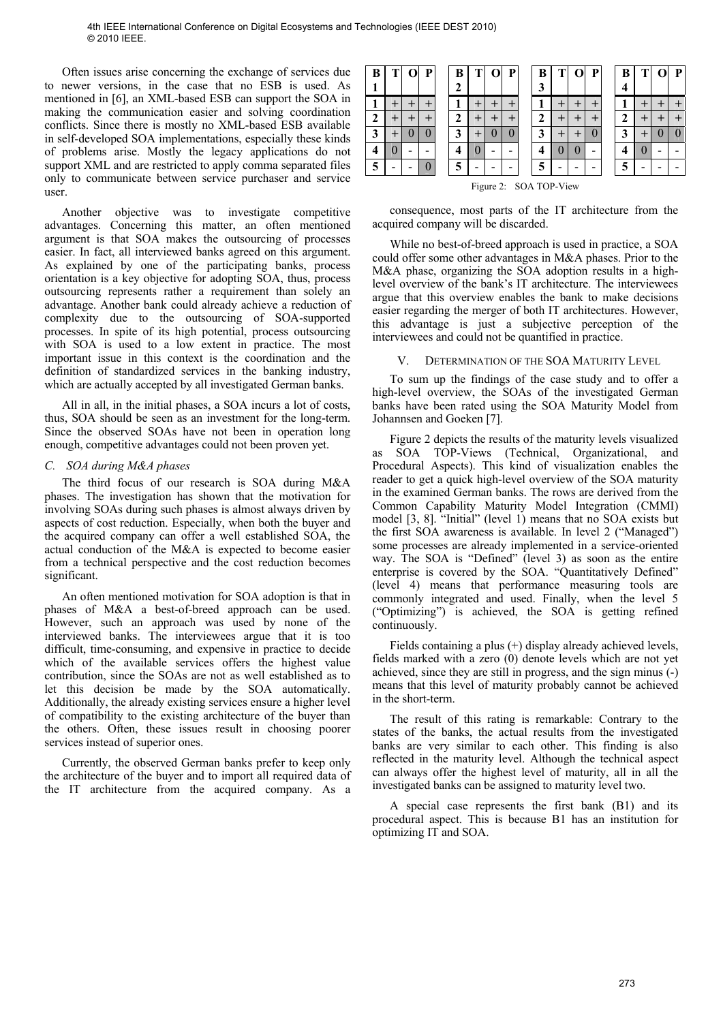Often issues arise concerning the exchange of services due to newer versions, in the case that no ESB is used. As mentioned in [6], an XML-based ESB can support the SOA in making the communication easier and solving coordination conflicts. Since there is mostly no XML-based ESB available in self-developed SOA implementations, especially these kinds of problems arise. Mostly the legacy applications do not support XML and are restricted to apply comma separated files only to communicate between service purchaser and service user.

Another objective was to investigate competitive advantages. Concerning this matter, an often mentioned argument is that SOA makes the outsourcing of processes easier. In fact, all interviewed banks agreed on this argument. As explained by one of the participating banks, process orientation is a key objective for adopting SOA, thus, process outsourcing represents rather a requirement than solely an advantage. Another bank could already achieve a reduction of complexity due to the outsourcing of SOA-supported processes. In spite of its high potential, process outsourcing with SOA is used to a low extent in practice. The most important issue in this context is the coordination and the definition of standardized services in the banking industry, which are actually accepted by all investigated German banks.

All in all, in the initial phases, a SOA incurs a lot of costs, thus, SOA should be seen as an investment for the long-term. Since the observed SOAs have not been in operation long enough, competitive advantages could not been proven yet.

## *C. SOA during M&A phases*

The third focus of our research is SOA during M&A phases. The investigation has shown that the motivation for involving SOAs during such phases is almost always driven by aspects of cost reduction. Especially, when both the buyer and the acquired company can offer a well established SOA, the actual conduction of the M&A is expected to become easier from a technical perspective and the cost reduction becomes significant.

An often mentioned motivation for SOA adoption is that in phases of M&A a best-of-breed approach can be used. However, such an approach was used by none of the interviewed banks. The interviewees argue that it is too difficult, time-consuming, and expensive in practice to decide which of the available services offers the highest value contribution, since the SOAs are not as well established as to let this decision be made by the SOA automatically. Additionally, the already existing services ensure a higher level of compatibility to the existing architecture of the buyer than the others. Often, these issues result in choosing poorer services instead of superior ones.

Currently, the observed German banks prefer to keep only the architecture of the buyer and to import all required data of the IT architecture from the acquired company. As a

| B | m | P | B | T | $\mathbf{O}$ | P | B | m<br>ı. | $\mathbf{O}$ | P | В | m<br>л | P |
|---|---|---|---|---|--------------|---|---|---------|--------------|---|---|--------|---|
|   |   |   |   |   |              |   |   |         |              |   |   |        |   |
| 2 |   |   |   |   |              |   |   |         |              |   |   |        |   |
|   |   |   |   |   |              |   |   |         |              |   |   |        |   |
|   |   |   |   |   |              |   |   |         |              |   |   |        |   |
|   |   |   |   |   |              |   |   |         |              |   | 5 |        |   |
|   |   |   |   |   |              |   |   |         |              |   |   |        |   |

Figure 2: SOA TOP-View

consequence, most parts of the IT architecture from the acquired company will be discarded.

While no best-of-breed approach is used in practice, a SOA could offer some other advantages in M&A phases. Prior to the M&A phase, organizing the SOA adoption results in a highlevel overview of the bank's IT architecture. The interviewees argue that this overview enables the bank to make decisions easier regarding the merger of both IT architectures. However, this advantage is just a subjective perception of the interviewees and could not be quantified in practice.

## DETERMINATION OF THE SOA MATURITY LEVEL

To sum up the findings of the case study and to offer a high-level overview, the SOAs of the investigated German banks have been rated using the SOA Maturity Model from Johannsen and Goeken [7].

Figure 2 depicts the results of the maturity levels visualized as SOA TOP-Views (Technical, Organizational, and Procedural Aspects). This kind of visualization enables the reader to get a quick high-level overview of the SOA maturity in the examined German banks. The rows are derived from the Common Capability Maturity Model Integration (CMMI) model [3, 8]. "Initial" (level 1) means that no SOA exists but the first SOA awareness is available. In level 2 ("Managed") some processes are already implemented in a service-oriented way. The SOA is "Defined" (level 3) as soon as the entire enterprise is covered by the SOA. "Quantitatively Defined" (level 4) means that performance measuring tools are commonly integrated and used. Finally, when the level 5 ("Optimizing") is achieved, the SOA is getting refined continuously.

Fields containing a plus (+) display already achieved levels, fields marked with a zero (0) denote levels which are not yet achieved, since they are still in progress, and the sign minus (-) means that this level of maturity probably cannot be achieved in the short-term.

The result of this rating is remarkable: Contrary to the states of the banks, the actual results from the investigated banks are very similar to each other. This finding is also reflected in the maturity level. Although the technical aspect can always offer the highest level of maturity, all in all the investigated banks can be assigned to maturity level two.

A special case represents the first bank (B1) and its procedural aspect. This is because B1 has an institution for optimizing IT and SOA.